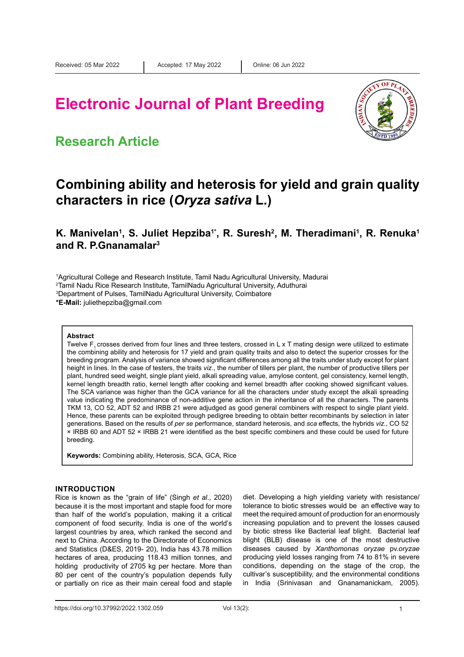# **Electronic Journal of Plant Breeding**



### **Research Article**

### **Combining ability and heterosis for yield and grain quality characters in rice (***Oryza sativa* **L.)**

**K.** Manivelan<sup>1</sup>, S. Juliet Hepziba<sup>1\*</sup>, R. Suresh<sup>2</sup>, M. Theradimani<sup>1</sup>, R. Renuka<sup>1</sup> **and R. P.Gnanamalar3**

1 Agricultural College and Research Institute, Tamil Nadu Agricultural University, Madurai

2 Tamil Nadu Rice Research Institute, TamilNadu Agricultural University, Aduthurai

 $^{\rm 3}$ Department of Pulses, TamilNadu Agricultural University, Coimbatore

**\*E-Mail:** juliethepziba@gmail.com

#### **Abstract**

Twelve F, crosses derived from four lines and three testers, crossed in L x T mating design were utilized to estimate the combining ability and heterosis for 17 yield and grain quality traits and also to detect the superior crosses for the breeding program. Analysis of variance showed significant differences among all the traits under study except for plant height in lines. In the case of testers, the traits *viz*., the number of tillers per plant, the number of productive tillers per plant, hundred seed weight, single plant yield, alkali spreading value, amylose content, gel consistency, kernel length, kernel length breadth ratio, kernel length after cooking and kernel breadth after cooking showed significant values. The SCA variance was higher than the GCA variance for all the characters under study except the alkali spreading value indicating the predominance of non-additive gene action in the inheritance of all the characters. The parents TKM 13, CO 52, ADT 52 and IRBB 21 were adjudged as good general combiners with respect to single plant yield. Hence, these parents can be exploited through pedigree breeding to obtain better recombinants by selection in later generations. Based on the results of *per se* performance, standard heterosis, and *sca* effects, the hybrids *viz.*, CO 52 × IRBB 60 and ADT 52 × IRBB 21 were identified as the best specific combiners and these could be used for future breeding.

**Keywords:** Combining ability, Heterosis, SCA, GCA, Rice

#### **INTRODUCTION**

Rice is known as the "grain of life" (Singh *et al*., 2020) because it is the most important and staple food for more than half of the world's population, making it a critical component of food security. India is one of the world's largest countries by area, which ranked the second and next to China. According to the Directorate of Economics and Statistics (D&ES, 2019- 20), India has 43.78 million hectares of area, producing 118.43 million tonnes, and holding productivity of 2705 kg per hectare. More than 80 per cent of the country's population depends fully or partially on rice as their main cereal food and staple diet. Developing a high yielding variety with resistance/ tolerance to biotic stresses would be an effective way to meet the required amount of production for an enormously increasing population and to prevent the losses caused by biotic stress like Bacterial leaf blight. Bacterial leaf blight (BLB) disease is one of the most destructive diseases caused by *Xanthomonas oryzae* pv.*oryzae*  producing yield losses ranging from 74 to 81% in severe conditions, depending on the stage of the crop, the cultivar's susceptibility, and the environmental conditions in India (Srinivasan and Gnanamanickam, 2005).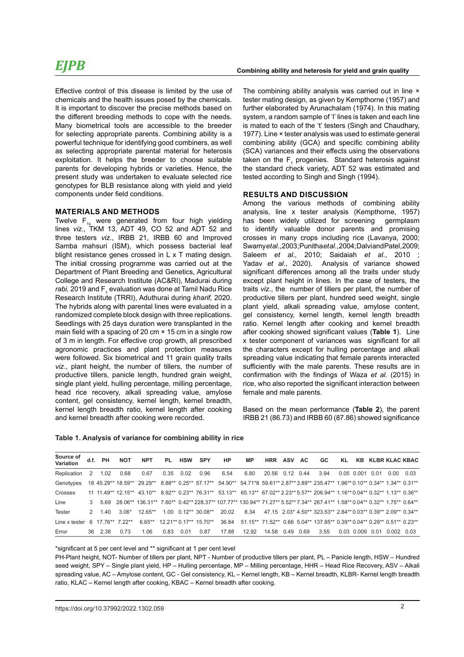Effective control of this disease is limited by the use of chemicals and the health issues posed by the chemicals. It is important to discover the precise methods based on the different breeding methods to cope with the needs. Many biometrical tools are accessible to the breeder for selecting appropriate parents. Combining ability is a powerful technique for identifying good combiners, as well as selecting appropriate parental material for heterosis exploitation. It helps the breeder to choose suitable parents for developing hybrids or varieties. Hence, the present study was undertaken to evaluate selected rice genotypes for BLB resistance along with yield and yield components under field conditions.

### **MATERIALS AND METHODS**

Twelve  $F_{1s}$  were generated from four high yielding lines *viz.,* TKM 13, ADT 49, CO 52 and ADT 52 and three testers *viz*., IRBB 21, IRBB 60 and Improved Samba mahsuri (ISM), which possess bacterial leaf blight resistance genes crossed in L x T mating design. The initial crossing programme was carried out at the Department of Plant Breeding and Genetics, Agricultural College and Research Institute (AC&RI), Madurai during *rabi,* 2019 and F<sub>1</sub> evaluation was done at Tamil Nadu Rice Research Institute (TRRI), Aduthurai during *kharif,* 2020. The hybrids along with parental lines were evaluated in a randomized complete block design with three replications. Seedlings with 25 days duration were transplanted in the main field with a spacing of 20 cm × 15 cm in a single row of 3 m in length. For effective crop growth, all prescribed agronomic practices and plant protection measures were followed. Six biometrical and 11 grain quality traits *viz*., plant height, the number of tillers, the number of productive tillers, panicle length, hundred grain weight, single plant yield, hulling percentage, milling percentage, head rice recovery, alkali spreading value, amylose content, gel consistency, kernel length, kernel breadth, kernel length breadth ratio, kernel length after cooking and kernel breadth after cooking were recorded.

The combining ability analysis was carried out in line  $\times$ tester mating design, as given by Kempthorne (1957) and further elaborated by Arunachalam (1974). In this mating system, a random sample of 'l' lines is taken and each line is mated to each of the 't' testers (Singh and Chaudhary, 1977). Line × tester analysis was used to estimate general combining ability (GCA) and specific combining ability (SCA) variances and their effects using the observations taken on the  $F_1$  progenies. Standard heterosis against the standard check variety, ADT 52 was estimated and tested according to Singh and Singh (1994).

### **RESULTS AND DISCUSSION**

Among the various methods of combining ability analysis, line x tester analysis (Kempthorne, 1957) has been widely utilized for screening germplasm to identify valuable donor parents and promising crosses in many crops including rice (Lavanya, 2000; Swamy *et al*., 2003; Punitha *et al*., 2004; Dalvi and Patel, 2009; Saleem *et al.,* 2010; Saidaiah *et al*., 2010 ; Yadav *et al*., 2020). Analysis of variance showed significant differences among all the traits under study except plant height in lines. In the case of testers, the traits *viz*., the number of tillers per plant, the number of productive tillers per plant, hundred seed weight, single plant yield, alkali spreading value, amylose content, gel consistency, kernel length, kernel length breadth ratio. Kernel length after cooking and kernel breadth after cooking showed significant values (**Table 1**). Line x tester component of variances was significant for all the characters except for hulling percentage and alkali spreading value indicating that female parents interacted sufficiently with the male parents. These results are in confirmation with the findings of Waza *et al.* (2015) in rice, who also reported the significant interaction between female and male parents.

Based on the mean performance (**Table 2**), the parent IRBB 21 (86.73) and IRBB 60 (87.86) showed significance

| Table 1. Analysis of variance for combining ability in rice |  |
|-------------------------------------------------------------|--|
|-------------------------------------------------------------|--|

| Source of<br>Variation | d.f.          | <b>PH</b>        | <b>NOT</b> | <b>NPT</b> | <b>PL</b> | <b>HSW</b> | <b>SPY</b>                        | HP    | <b>MP</b> | <b>HRR</b> | ASV       | <b>AC</b> | GC.                                                                                                                                |            |      |                 | KL KB KLBR KLAC KBAC |
|------------------------|---------------|------------------|------------|------------|-----------|------------|-----------------------------------|-------|-----------|------------|-----------|-----------|------------------------------------------------------------------------------------------------------------------------------------|------------|------|-----------------|----------------------|
| Replication            | 2             | 1.02             | 0.68       | 0.67       | 0.35      | 0.02       | 0.96                              | 6.54  | 6.80      | 20.56      | 0.12 0.44 |           | 3.94                                                                                                                               | 0.05 0.001 | 0 01 | 0.00            | 0.03                 |
| Genotypes              |               |                  |            |            |           |            |                                   |       |           |            |           |           | 18 45.29** 18.59** 29.29** 8.88** 0.25** 57.17** 54.90** 54.71*8 59.61** 2.87** 3.89** 235.47** 1.96** 0.10** 0.34** 1.34** 0.31** |            |      |                 |                      |
| Crosses                |               |                  |            |            |           |            |                                   |       |           |            |           |           | 11 11.49** 12.15** 43.10** 8.92** 0.23** 76.31** 53.13** 65.13** 67.02** 2.23** 5.57** 206.94** 1.16** 0.04** 0.32** 1.13** 0.36** |            |      |                 |                      |
| Line                   | 3             | 5.69             |            |            |           |            |                                   |       |           |            |           |           | 28.06** 136.31** 7.60** 0.42** 228.37** 107.77** 130.94** 71.27** 5.52** 7.34** 267.41** 1.58** 0.04** 0.32** 1.75** 0.64**        |            |      |                 |                      |
| Tester                 | $\mathcal{P}$ | 140              | $3.06*$    | $12.65**$  |           |            | $1.00 \quad 0.12** \quad 30.08**$ | 20.02 | 8.34      |            |           |           | 47.15 2.03* 4.50** 323.53** 2.84** 0.03** 0.39** 2.09** 0.34**                                                                     |            |      |                 |                      |
| I ine x tester         |               | 6 17 76** 7 22** |            | $6.65***$  |           |            | 12 21** 0 17** 15 70**            | 36.84 |           |            |           |           | 51.15** 71.52** 0.66 5.04** 137.85** 0.39** 0.04** 0.29** 0.51** 0.23**                                                            |            |      |                 |                      |
| Error                  | 36.           | 2.38             | 0.73       | 1.06       | 0.83      | 0.01       | 0.87                              | 17.88 | 12.92     | 14.58      | 0.49      | 0.69      | 3.55                                                                                                                               | 0.03 0.009 | 0 01 | <u>በ በበ2 - </u> |                      |

\*significant at 5 per cent level and \*\* significant at 1 per cent level

PH-Plant height, NOT- Number of tillers per plant, NPT - Number of productive tillers per plant, PL – Panicle length, HSW – Hundred seed weight, SPY – Single plant yield, HP – Hulling percentage, MP – Milling percentage, HHR – Head Rice Recovery, ASV – Alkali spreading value, AC – Amylose content, GC - Gel consistency, KL – Kernel length, KB – Kernel breadth, KLBR- Kernel length breadth ratio, KLAC – Kernel length after cooking, KBAC – Kernel breadth after cooking.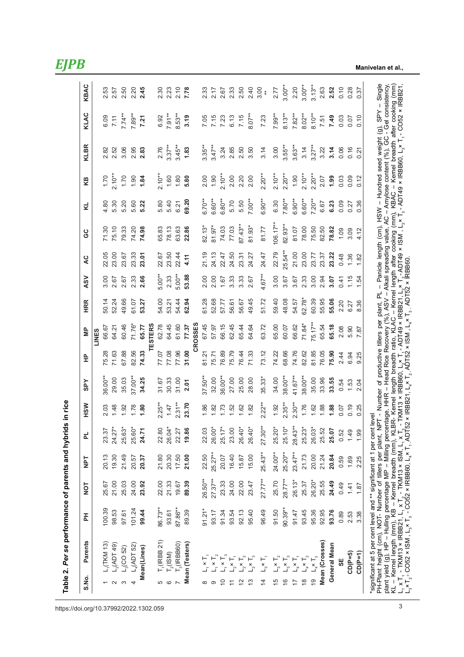| S.No.                                                                                                                                                                                                                                                                                   | 굳<br>Parents                                                                                                                                                                                                                     | TON       | <b>TdN</b> | 군         | <b>HSW</b> | SPY        | 운     | ξ              | <b>HRR</b> | <b>ASV</b> | Q          | 9G         | Σ,        | KB        | <b>KLBR</b> | KLAC      | KBAC                      |
|-----------------------------------------------------------------------------------------------------------------------------------------------------------------------------------------------------------------------------------------------------------------------------------------|----------------------------------------------------------------------------------------------------------------------------------------------------------------------------------------------------------------------------------|-----------|------------|-----------|------------|------------|-------|----------------|------------|------------|------------|------------|-----------|-----------|-------------|-----------|---------------------------|
|                                                                                                                                                                                                                                                                                         |                                                                                                                                                                                                                                  |           |            |           |            |            |       | LINES          |            |            |            |            |           |           |             |           |                           |
| $L$ <sub>1</sub> (TKM 13)                                                                                                                                                                                                                                                               | 100.39                                                                                                                                                                                                                           | 25.67     | 20.13      | 23.37     | 2.03       | 36.00**    | 75.28 | 66.67          | 50.14      | 3.00       | 22.05      | 71.30      | 4.80      | 1.70      | 2.82        | 6.09      | 2.53                      |
| L <sub>2</sub> (ADT 49)<br>$\sim$                                                                                                                                                                                                                                                       | 98.53                                                                                                                                                                                                                            | 21.00     | 19.30      | 24.27*    | 1.48       | 29.00      | 71.63 | 64.21          | 52.24      | 2.67       | 23.00      | 75.10      | 5.30      | $2.10**$  | 2.52        | 7.11      | 2.57                      |
| $\mathsf{L}_{3}(\mathsf{CO}$ 52)<br>S                                                                                                                                                                                                                                                   | 97.61                                                                                                                                                                                                                            | 25.03     | 21.49      | 25.63*    | 1.92       | 35.03      | 67.88 | 60.46          | 49.66      | 2.67       | 23.67      | 79.33      | 5.20      | 1.70      | 3.06        | $7.74**$  | 2.50                      |
| $L_4(ADT 52)$<br>4                                                                                                                                                                                                                                                                      | 101.24                                                                                                                                                                                                                           | 24.00     | 20.57      | 25.60*    | 1.78       | 37.00**    | 82.56 | 71.76*         | 61.07      | 2.33       | 23.33      | 74.20      | 5.60      | 1.90      | 2.95        | $7.89**$  | 2.20                      |
| Mean(Lines)                                                                                                                                                                                                                                                                             | 99.44                                                                                                                                                                                                                            | 23.92     | 20.37      | 24.71     | 1.80       | 34.25      | 74.33 | 65.77          | 53.27      | 2.66       | 23.01      | 74.98      | 5.22      | 1.84      | 2.83        | 7.21      | 2.45                      |
|                                                                                                                                                                                                                                                                                         |                                                                                                                                                                                                                                  |           |            |           |            |            |       | <b>TESTERS</b> |            |            |            |            |           |           |             |           |                           |
| $T_1($ <b>RBB</b> 21)<br>5                                                                                                                                                                                                                                                              | 86.73**                                                                                                                                                                                                                          | 22.00     | 21.80      | 22.80     | $2.25***$  | 31.67      | 77.07 | 62.78          | 54.00      | $5.00**$   | 22.67      | 65.83      | 5.80      | $2.10***$ | 2.76        | 6.92      | 2.30                      |
| $T_2($ ISM)<br>6                                                                                                                                                                                                                                                                        | 93.61                                                                                                                                                                                                                            | 21.33     | 20.30      | 26.04*    | 1.47       | 30.33      | 77.08 | 64.45          | 53.21      | 2.33       | 23.50      | 78.13      | 5.40      | 1.60      | $3.37***$   | $7.91**$  | 2.23                      |
| $T_3($ IRBB60)<br>$\overline{ }$                                                                                                                                                                                                                                                        | 87.86**                                                                                                                                                                                                                          | 19.67     | 17.50      | 22.27     | $2.31**$   | 31.00      | 77.96 | 61.60          | 54.44      | $5.00**$   | 22.44      | 63.63      | 6.21      | 1.80      | $3.45**$    | $8.53**$  | 2.10                      |
| Mean (Testers)                                                                                                                                                                                                                                                                          | 89.39                                                                                                                                                                                                                            | 89.39     | 21.00      | 19.86     | 23.70      | 2.01       | 31.00 | 77.37          | 62.94      | 53.88      | 4.11       | 22.86      | 69.20     | 5.80      | 1.83        | 3.19      | 7.78                      |
|                                                                                                                                                                                                                                                                                         |                                                                                                                                                                                                                                  |           |            |           |            |            |       | CROSSES        |            |            |            |            |           |           |             |           |                           |
| $\infty$                                                                                                                                                                                                                                                                                | $91.21*$                                                                                                                                                                                                                         | 26.50**   | 22.50      | 22.03     | 1.86       | $37.50***$ | 81.21 | 67.45          | 61.28      | 2.00       | 21.19      | $82.13*$   | $6.70***$ | 2.00      | $3.35***$   | 7.05      | 2.33                      |
|                                                                                                                                                                                                                                                                                         | 93.17                                                                                                                                                                                                                            | $27.37**$ | $25.27**$  | 26.00*    | 1.82       | 32.00      | 75.71 | 57.97          | 52.68      | 2.00       | 24.13      | $81.97*$   | $6.60***$ | 1.90      | $3.47**$    | 7.15      | 2.17                      |
| $\overline{C}$                                                                                                                                                                                                                                                                          | 91.34                                                                                                                                                                                                                            | 23.33     | 20.07      | $25.17*$  | 1.73       | 36.00**    | 76.89 | 66.15          | 57.77      | 1.67       | 22.47      | 74.03      | $6.80**$  | $2.10**$  | 3.24        | 7.23      | 2.67                      |
| Ξ                                                                                                                                                                                                                                                                                       | 93.54                                                                                                                                                                                                                            | 24.00     | 16.40      | 23.00     | 1.52       | 27.00      | 75.79 | 62.45          | 56.61      | 3.33       | 24.50      | 77.03      | 5.70      | 2.00      | 2.85        | 6.13      | 2.33                      |
| $\begin{array}{cccccc} \Gamma & \times & \times & \times & \times & \times \\ \Gamma & \times & \times & \times & \times & \times \\ \Gamma & \Gamma & \Gamma & \Gamma & \Gamma & \Gamma \\ \Gamma & \Gamma & \Gamma & \Gamma & \Gamma & \Gamma \end{array}$<br>$\overline{\mathbf{C}}$ | 92.13                                                                                                                                                                                                                            | 22.00     | 15.87      | 26.40*    | 1.62       | 25.00      | 76.44 | 65.44          | 56.67      | 3.33       | 23.31      | 87.43**    | 5.50      | 2.20      | 2.50        | 7.15      | 2.50                      |
| $L_2 \times T_3$                                                                                                                                                                                                                                                                        | 95.40                                                                                                                                                                                                                            | 23.47     | 15.00      | 26.40*    | 1.82       | 28.00      | 71.33 | 64.64          | 49.45      | 2.67       | 24.27      | 81.93*     | $7.00**$  | 2.00      | 3.50        | $8.07**$  | 2.40                      |
| $L_3 \times T_1$<br>4                                                                                                                                                                                                                                                                   | 96.49                                                                                                                                                                                                                            | $27.77**$ | $25.43**$  | $27.30**$ | $2.22***$  | $35.33*$   | 73.12 | 63.72          | 51.72      | $4.67***$  | 24.47      | 81.77      | $6.90***$ | $2.20***$ | 3.14        | 7.23      | 3.00<br>$\stackrel{*}{*}$ |
| $L_3 \times T_2$<br>15                                                                                                                                                                                                                                                                  | 91.50                                                                                                                                                                                                                            | 25.70     | 24.00**    | 25.20*    | 1.92       | 34.00      | 74.22 | 65.00          | 59.40      | 3.00       | 22.79      | $106.17**$ | 6.30      | $2.10**$  | 3.00        | $7.99***$ | 2.77                      |
| $\mathsf{L}_3 \times \mathsf{T}_3$<br>$\frac{6}{5}$                                                                                                                                                                                                                                     | 90.39**                                                                                                                                                                                                                          | 28.77**   | 25.20**    | 25.10*    | $2.35***$  | 38.00**    | 68.66 | 60.07          | 48.08      | 3.67       | $25.54***$ | 82.93**    | $7.80**$  | $2.20**$  | $3.55***$   | $8.13**$  | $3.00**$                  |
| $L_4 \times T_1$                                                                                                                                                                                                                                                                        | 91.47                                                                                                                                                                                                                            | 26.13*    | $23.47**$  | $28.43**$ | $2.30**$   | 41.67**    | 74.76 | 66.62          | 54.57      | 3.67       | 21.00      | 81.07      | $6.90***$ | 1.90      | $3.63**$    | $7.82**$  | 2.20                      |
| $L_4 \times T_2$<br>$\frac{8}{1}$                                                                                                                                                                                                                                                       | 93.45                                                                                                                                                                                                                            | 25.37     | 21.73      | 25.23*    | 1.76       | 38.00**    | 82.62 | 71.84*         | 62.78*     | 2.33       | 23.00      | 78.00      | $6.60***$ | $2.10***$ | 3.14        | $8.02***$ | $3.00**$                  |
| $\mathsf{L}_4 \times \mathsf{T}_3$<br>Q)                                                                                                                                                                                                                                                | 95.36                                                                                                                                                                                                                            | 26.20*    | 20.00      | 26.03*    | 1.62       | 35.00      | 81.85 | $75.17**$      | 60.39      | 3.00       | 23.77      | 75.50      | $7.20**$  | $2.20**$  | $3.27***$   | $8.10**$  | $3.13**$                  |
| Mean (Crosses)                                                                                                                                                                                                                                                                          | 92.95                                                                                                                                                                                                                            | 25.55     | 21.24      | 25.52     | 1.88       | 33.96      | 76.05 | 65.54          | 55.95      | 2.94       | 23.37      | 82.50      | 6.67      | 2.07      | 3.22        | 7.51      | 2.63                      |
| General Mean                                                                                                                                                                                                                                                                            | 93.76                                                                                                                                                                                                                            | 24.49     | 20.84      | 25.07     | 1.88       | 33.55      | 75.90 | 65.18          | 55.06      | 3.07       | 23.22      | 78.82      | 6.23      | 1.99      | 3.14        | 7.49      | 2.52                      |
| 59                                                                                                                                                                                                                                                                                      | 0.89                                                                                                                                                                                                                             | 0.49      | 0.59       | 0.52      | 0.07       | 0.54       | 2.44  | 2.08           | 2.20       | 0.41       | 0.48       | 1.09       | 0.09      | 0.03      | 0.06        | 0.03      | 0.10                      |
| $CD(P=5)$                                                                                                                                                                                                                                                                               | 2.53                                                                                                                                                                                                                             | 1.41      | 1.69       | 1.49      | 0.19       | 1.53       | 6.94  | 5.90           | 6.27       | 1.15       | 1.36       | 3.09       | 0.27      | 0.09      | 0.16        | 0.07      | 0.28                      |
| $CD(P=1)$                                                                                                                                                                                                                                                                               | 3.38                                                                                                                                                                                                                             | 1.87      | 2.25       | 1.99      | 0.25       | 2.04       | 9.25  | 7.87           | 8.36       | 1.54       | 1.82       | 4.12       | 0.36      | 0.12      | 0.21        | 0.10      | 0.37                      |
|                                                                                                                                                                                                                                                                                         | *significant at 5 per cent level and ** significant at 1 per cent                                                                                                                                                                |           |            |           | level      |            |       |                |            |            |            |            |           |           |             |           |                           |
|                                                                                                                                                                                                                                                                                         |                                                                                                                                                                                                                                  |           |            |           |            |            |       |                |            |            |            |            |           |           |             |           |                           |
|                                                                                                                                                                                                                                                                                         | PH-Plant height (cm), NOT- Number of tillers per plant, NPT - Number of productive tillers per plant, PL – Panicle length (cm), HSW – Hundred seed weight (g), SPY – Single<br>plant yield (g), HP – Hulling percentage MP – Mil |           |            |           |            |            |       |                |            |            |            |            |           |           |             |           |                           |
|                                                                                                                                                                                                                                                                                         |                                                                                                                                                                                                                                  |           |            |           |            |            |       |                |            |            |            |            |           |           |             |           |                           |

 **Manivelan et al.,**

3 https://doi.org/10.37992/2022.1302.059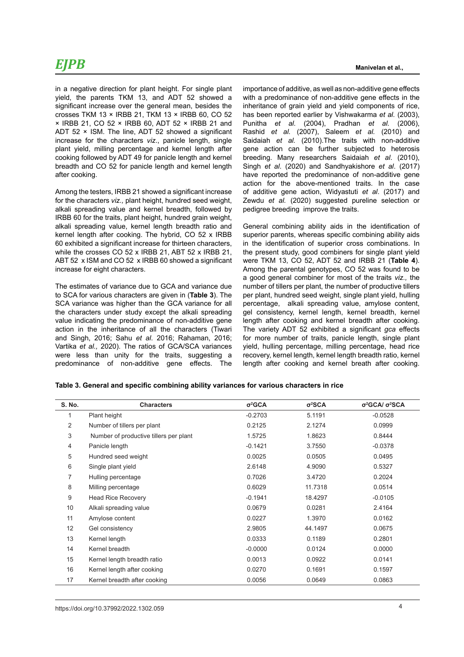in a negative direction for plant height. For single plant yield, the parents TKM 13, and ADT 52 showed a significant increase over the general mean, besides the crosses TKM 13 × IRBB 21, TKM 13 × IRBB 60, CO 52 × IRBB 21, CO 52 × IRBB 60, ADT 52 × IRBB 21 and ADT 52 × ISM. The line, ADT 52 showed a significant increase for the characters *viz*., panicle length, single plant yield, milling percentage and kernel length after cooking followed by ADT 49 for panicle length and kernel breadth and CO 52 for panicle length and kernel length after cooking.

Among the testers, IRBB 21 showed a significant increase for the characters *viz.,* plant height, hundred seed weight, alkali spreading value and kernel breadth, followed by IRBB 60 for the traits, plant height, hundred grain weight, alkali spreading value, kernel length breadth ratio and kernel length after cooking. The hybrid, CO 52 x IRBB 60 exhibited a significant increase for thirteen characters, while the crosses CO 52 x IRBB 21, ABT 52 x IRBB 21, ABT 52 x ISM and CO 52 x IRBB 60 showed a significant increase for eight characters.

The estimates of variance due to GCA and variance due to SCA for various characters are given in (**Table 3**). The SCA variance was higher than the GCA variance for all the characters under study except the alkali spreading value indicating the predominance of non-additive gene action in the inheritance of all the characters (Tiwari and Singh, 2016; Sahu *et al*. 2016; Rahaman, 2016; Vartika *et al.,* 2020). The ratios of GCA/SCA variances were less than unity for the traits, suggesting a predominance of non-additive gene effects. The importance of additive, as well as non-additive gene effects with a predominance of non-additive gene effects in the inheritance of grain yield and yield components of rice, has been reported earlier by Vishwakarma *et al.* (2003), Punitha *et al.* (2004), Pradhan *et al.* (2006), Rashid *et al.* (2007), Saleem *et al.* (2010) and Saidaiah *et al.* (2010).The traits with non-additive gene action can be further subjected to heterosis breeding. Many researchers Saidaiah *et al*. (2010), Singh *et al*. (2020) and Sandhyakishore *et al*. (2017) have reported the predominance of non-additive gene action for the above-mentioned traits. In the case of additive gene action, Widyastuti *et al*. (2017) and Zewdu *et al.* (2020) suggested pureline selection or pedigree breeding improve the traits.

General combining ability aids in the identification of superior parents, whereas specific combining ability aids in the identification of superior cross combinations. In the present study, good combiners for single plant yield were TKM 13, CO 52, ADT 52 and IRBB 21 (**Table 4**). Among the parental genotypes, CO 52 was found to be a good general combiner for most of the traits *viz.,* the number of tillers per plant, the number of productive tillers per plant, hundred seed weight, single plant yield, hulling percentage, alkali spreading value, amylose content, gel consistency, kernel length, kernel breadth, kernel length after cooking and kernel breadth after cooking. The variety ADT 52 exhibited a significant *gca* effects for more number of traits, panicle length, single plant yield, hulling percentage, milling percentage, head rice recovery, kernel length, kernel length breadth ratio, kernel length after cooking and kernel breath after cooking.

#### **Table 3. General and specific combining ability variances for various characters in rice**

| <b>S. No.</b> | <b>Characters</b>                      | $\sigma^2$ GCA | $\sigma^2$ SCA | $\sigma^2$ GCA/ $\sigma^2$ SCA |
|---------------|----------------------------------------|----------------|----------------|--------------------------------|
| 1             | Plant height                           | $-0.2703$      | 5.1191         | $-0.0528$                      |
| 2             | Number of tillers per plant            | 0.2125         | 2.1274         | 0.0999                         |
| 3             | Number of productive tillers per plant | 1.5725         | 1.8623         | 0.8444                         |
| 4             | Panicle length                         | $-0.1421$      | 3.7550         | $-0.0378$                      |
| 5             | Hundred seed weight                    | 0.0025         | 0.0505         | 0.0495                         |
| 6             | Single plant yield                     | 2.6148         | 4.9090         | 0.5327                         |
| 7             | Hulling percentage                     | 0.7026         | 3.4720         | 0.2024                         |
| 8             | Milling percentage                     | 0.6029         | 11.7318        | 0.0514                         |
| 9             | <b>Head Rice Recovery</b>              | $-0.1941$      | 18.4297        | $-0.0105$                      |
| 10            | Alkali spreading value                 | 0.0679         | 0.0281         | 2.4164                         |
| 11            | Amylose content                        | 0.0227         | 1.3970         | 0.0162                         |
| 12            | Gel consistency                        | 2.9805         | 44.1497        | 0.0675                         |
| 13            | Kernel length                          | 0.0333         | 0.1189         | 0.2801                         |
| 14            | Kernel breadth                         | $-0.0000$      | 0.0124         | 0.0000                         |
| 15            | Kernel length breadth ratio            | 0.0013         | 0.0922         | 0.0141                         |
| 16            | Kernel length after cooking            | 0.0270         | 0.1691         | 0.1597                         |
| 17            | Kernel breadth after cooking           | 0.0056         | 0.0649         | 0.0863                         |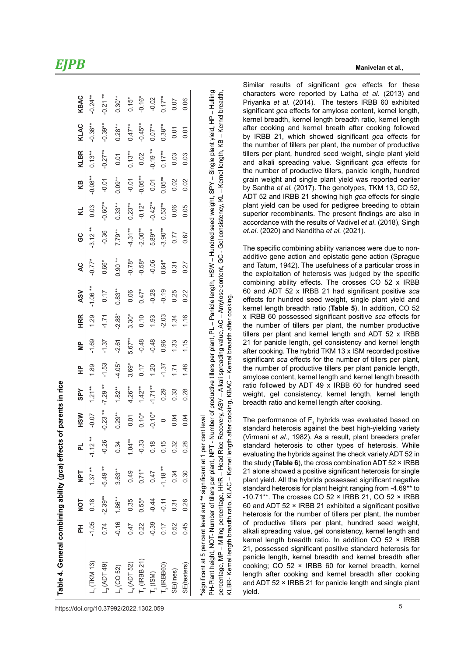|                                                                                                                                     |         | 5<br>NO   | <b>Tak</b> | 립         | <b>HSW</b> | <b>SPY</b> | 운              | $\frac{\mathsf{p}}{\mathsf{p}}$ | <b>HRR</b>     | <b>ASV</b> | ă                                                                                            | ပ္ပ       | ₹         | KB        | <b>KLBR</b> | KLAC                    | KBAC           |
|-------------------------------------------------------------------------------------------------------------------------------------|---------|-----------|------------|-----------|------------|------------|----------------|---------------------------------|----------------|------------|----------------------------------------------------------------------------------------------|-----------|-----------|-----------|-------------|-------------------------|----------------|
| $L$ <sub>1</sub> (TKM 13)                                                                                                           | $-1.05$ | 0.18      | $1.37**$   | $-1.12**$ | $-0.07$    | $1.21**$   | $\frac{89}{ }$ | $-1.69$                         | $\frac{29}{2}$ | $-1.06**$  | $-0.77*$                                                                                     | $-3.12**$ | 0.03      | $-0.08**$ | $0.13**$    | $-0.36***$              | $-0.24**$      |
| $L_2$ (ADT 49)                                                                                                                      | 0.74    | $-2.39**$ | $-5.49**$  | $-0.26$   | $-0.23**$  | $-7.29**$  | $-1.53$        | $-1.37$                         | $-1.71$        | 0.17       | 0.66*                                                                                        | $-0.36$   | $-0.60**$ | $-0.01$   | $-0.27**$   | $-0.39***$              | $-0.21**$      |
| $L_3$ (CO 52)                                                                                                                       | $-0.16$ | 1.86**    | $3.63**$   | 0.34      | $0.29***$  | $1.82***$  | $-4.05*$       | $-2.61$                         | $-2.88*$       | $0.83**$   | $0.90**$                                                                                     | 7.79**    | $0.33***$ | $0.09**$  | 5.01        | $0.28***$               | $0.30***$      |
| $L_4$ (ADT 52)                                                                                                                      | 0.47    | 0.35      | 0.49       | $1.04**$  | 0.01       | $4.26***$  | $3.69*$        | $5.67**$                        | $3.30*$        | 0.06       | $-0.78*$                                                                                     | $-4.31**$ | $0.23**$  | $-0.01$   | $0.13**$    | $0.47***$               | $0.15*$        |
| $T$ <sub>1</sub> (IRBB 21)                                                                                                          | 0.22    | $0.55*$   | $0.71*$    | $-0.33$   | $0.10*$    | $1.42**$   | 0.17           | $-0.48$                         | 0.10           | $0.47*$    | $-0.58*$                                                                                     | $-2.00**$ | $-0.12*$  | $-0.05**$ | 0.02        | $-0.45**$               | $-0.16*$       |
| T <sub>2</sub> (ISM)                                                                                                                | $-0.39$ | $-0.44$   | 0.47       | 0.18      | $-0.10*$   | $-1.71**$  | 1.20           | $-0.48$                         | 1.93           | $-0.28$    | $-0.06$                                                                                      | 5.89**    | $-0.42**$ | 0.01      | $-0.19**$   | $0.07***$               | $-0.02$        |
| $T_{3}$ (IRBB60)                                                                                                                    | 0.17    | $-0.11$   | $-1.18**$  | 0.15      | $\circ$    | 0.29       | $-1.37$        | 0.96                            | $-2.03$        | $-0.19$    | $0.64*$                                                                                      | $-3.90**$ | $0.53**$  | $0.05**$  | $0.17**$    | $0.38***$               | $0.17***$      |
| SE(lines)                                                                                                                           | 0.52    | 0.31      | 0.34       | 0.32      | 0.04       | 0.33       | 1.71           | 1.33                            | 1.34           | 0.25       | 0.31                                                                                         | 0.77      | 0.06      | 0.02      | 0.03        | 0.01                    | 0.07           |
| SE(testers)                                                                                                                         | 0.45    | 0.26      | 0.30       | 0.28      | 0.04       | 0.28       | 1.48           | 1.15                            | 1.16           | 0.22       | 0.27                                                                                         | 0.67      | 0.05      | 0.02      | 0.03        | δ.<br>0.01              | 0.06           |
| *significant at 5 per cent level and ** significant at 1 per cent level<br>PH Plant beight. NOT. Number of tillars per plant. NPT - |         |           |            |           |            |            |                |                                 |                |            | Number of productive till are nor plant. Du __ Danicle langt HSM __ Hundred cear house to DV |           |           |           |             | Single plant viald blue | <b>Hulling</b> |

Single plant yiels, transling PH-Plant height, NOT- Number of tillers per plant, NPT - Number of productive tillers per plant, PL – Panicle length, HSW – Hundred seed weight, SPY – Single plant yield, HP – Hulling percentage, MP – Milling percentage, HHR – Head Rice Recovery, ASV – Alkali spreading value, AC – Amylose content, GC - Gel consistency, KL – Kernel length, KB – Kernel breadth, percentage, MP – Milling percentage, HHR – Head Rice Recovery, ASV – Alkali spreading value, AC – Amylose content, GC - Gel consistency, KL – Kernel length, KB – Kernel breadth, PH-Plant height, NOT- Number of tillers per plant, number of plant, PL – Panicia per plant, PL – Panicle length, HSW – PH-Plant SPY – KLBR- Kernel length breadth ratio, KLAC – Kernel length after cooking, KBAC – Kernel breadth after cooking. KLBR- Kernel length breadth ratio, KLAC – Kernel length after cooking, KBAC – Kernel breadth after cooking. Similar results of significant *gca* effects for these characters were reported by Latha *et al.* (2013) and Priyanka *et al.* (2014). The testers IRBB 60 exhibited significant *gca* effects for amylose content, kernel length, kernel breadth, kernel length breadth ratio, kernel length after cooking and kernel breath after cooking followed by IRBB 21, which showed significant *gca* effects for the number of tillers per plant, the number of productive tillers per plant, hundred seed weight, single plant yield and alkali spreading value. Significant *gca* effects for the number of productive tillers, panicle length, hundred grain weight and single plant yield was reported earlier by Santha *et al.* (2017). The genotypes, TKM 13, CO 52, ADT 52 and IRBB 21 showing high *gca* effects for single plant yield can be used for pedigree breeding to obtain superior recombinants. The present findings are also in accordance with the results of Vadivel *et al*. (2018), Singh *et.al*. (2020) and Nanditha *et al.* (2021). The specific combining ability variances were due to non-

additive gene action and epistatic gene action (Sprague and Tatum, 1942). The usefulness of a particular cross in the exploitation of heterosis was judged by the specific combining ability effects. The crosses CO 52 x IRBB 60 and ADT 52 x IRBB 21 had significant positive *sca* effects for hundred seed weight, single plant yield and kernel length breadth ratio (**Table 5**). In addition, CO 52 x IRBB 60 possessed significant positive *sca* effects for the number of tillers per plant, the number productive tillers per plant and kernel length and ADT 52 x IRBB 21 for panicle length, gel consistency and kernel length after cooking. The hybrid TKM 13 x ISM recorded positive significant *sca* effects for the number of tillers per plant, the number of productive tillers per plant panicle length, amylose content, kernel length and kernel length breadth ratio followed by ADT 49 x IRBB 60 for hundred seed weight, gel consistency, kernel length, kernel length breadth ratio and kernel length after cooking.

The performance of  $F_1$  hybrids was evaluated based on standard heterosis against the best high-yielding variety (Virmani *et al.,* 1982). As a result, plant breeders prefer standard heterosis to other types of heterosis. While evaluating the hybrids against the check variety ADT 52 in the study (**Table 6**), the cross combination ADT 52 × IRBB 21 alone showed a positive significant heterosis for single plant yield. All the hybrids possessed significant negative standard heterosis for plant height ranging from -4.69\*\* to -10.71\*\*. The crosses CO 52 × IRBB 21, CO 52 × IRBB 60 and ADT 52 × IRBB 21 exhibited a significant positive heterosis for the number of tillers per plant, the number of productive tillers per plant, hundred seed weight, alkali spreading value, gel consistency, kernel length and kernel length breadth ratio. In addition CO 52 × IRBB 21, possessed significant positive standard heterosis for panicle length, kernel breadth and kernel breadth after cooking; CO 52 × IRBB 60 for kernel breadth, kernel length after cooking and kernel breadth after cooking and ADT 52 × IRBB 21 for panicle length and single plant yield.

*EJPB*

**Table 4. General combining ability (***gca***) effects of parents in rice** 

Table 4. General combining ability (gca) effects of parents in rice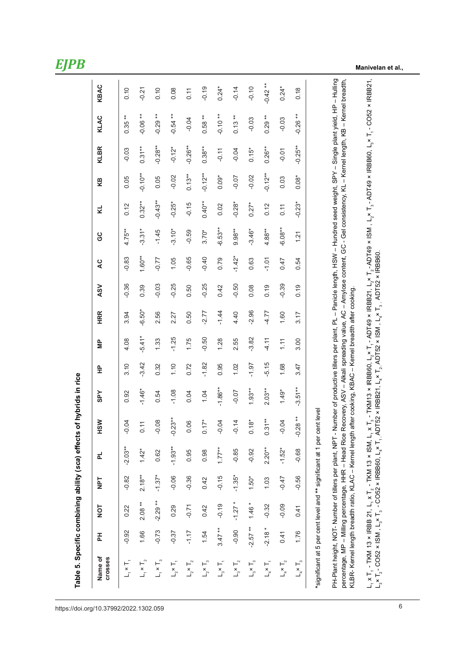**Manivelan et al.,**

| Table 5. Specific combining ability (sca) effects                                                                                                                                                                                                                                                                                                                                                                                                                                           |           |           |            |           |                                 | of hybrids in rice |         |          |            |            |          |           |           |           |             |                       |           |
|---------------------------------------------------------------------------------------------------------------------------------------------------------------------------------------------------------------------------------------------------------------------------------------------------------------------------------------------------------------------------------------------------------------------------------------------------------------------------------------------|-----------|-----------|------------|-----------|---------------------------------|--------------------|---------|----------|------------|------------|----------|-----------|-----------|-----------|-------------|-----------------------|-----------|
| Name of<br><b>Crosses</b>                                                                                                                                                                                                                                                                                                                                                                                                                                                                   | 폾         | TON       | <b>TdN</b> | 군         | <b>HSW</b>                      | <b>SPY</b>         | 웊       | ψP       | <b>HRR</b> | <b>ASV</b> | Q        | 9G        | Κ,        | KB        | <b>KLBR</b> | KLAC                  | KBAC      |
| $L_1 \times T_1$                                                                                                                                                                                                                                                                                                                                                                                                                                                                            | $-0.92$   | 0.22      | $-0.82$    | $-2.03**$ | $\beta$<br>ငှ                   | 0.92               | 3.10    | 4.08     | 3.94       | $-0.36$    | $-0.83$  | $4.75**$  | 0.12      | 0.05      | $-0.03$     | $\bf{*}$<br>0.35      | 0.10      |
| $L_1 \times T_2$                                                                                                                                                                                                                                                                                                                                                                                                                                                                            | 1.66      | $2.08**$  | $2.18**$   | $1.42*$   | $\overline{ }$<br>$\dot{\circ}$ | $-1.46*$           | $-3.42$ | $-5.41*$ | $-6.50*$   | 0.39       | $1.60**$ | $-3.31*$  | $0.32***$ | $-0.10**$ | $0.31***$   | $\ddot{*}$<br>$-0.06$ | $-0.21$   |
| $L_1 \times T_3$                                                                                                                                                                                                                                                                                                                                                                                                                                                                            | $-0.73$   | $-2.29**$ | $-1.37*$   | 0.62      | $\infty$<br>ငှ                  | 0.54               | 0.32    | 1.33     | 2.56       | $-0.03$    | $-0.77$  | $-1.45$   | $-0.43**$ | 0.05      | $-0.28**$   | $\bf{*}$<br>$-0.29$   | 0.10      |
| $L_2 \times T_1$                                                                                                                                                                                                                                                                                                                                                                                                                                                                            | $-0.37$   | 0.29      | $-0.06$    | $-1.93**$ | $-0.23**$                       | $-1.08$            | 1.10    | $-1.25$  | 2.27       | $-0.25$    | 1.05     | $-3.10*$  | $-0.25*$  | $-0.02$   | $-0.12*$    | $\ddot{*}$<br>$-0.54$ | 0.08      |
| $L_2 \times T_2$                                                                                                                                                                                                                                                                                                                                                                                                                                                                            | $-1.17$   | $-0.71$   | $-0.36$    | 0.95      | 0.06                            | 0.04               | 0.72    | 1.75     | 0.50       | 0.50       | $-0.65$  | $-0.59$   | $-0.15$   | $0.13**$  | $-0.26**$   | $-0.04$               | 0.11      |
| $L_2 \times T_3$                                                                                                                                                                                                                                                                                                                                                                                                                                                                            | 1.54      | 0.42      | 0.42       | 0.98      | $17*$<br>$\tilde{\circ}$        | 1.04               | $-1.82$ | $-0.50$  | $-2.77$    | $-0.25$    | $-0.40$  | $3.70*$   | $0.40**$  | $-0.12**$ | $0.38***$   | $0.58***$             | $-0.19$   |
| $L_{3} \times T_{1}$                                                                                                                                                                                                                                                                                                                                                                                                                                                                        | $3.47**$  | $-0.19$   | $-0.15$    | $1.77**$  | $\beta$<br>ငှ                   | $-1.86**$          | 0.95    | 1.28     | $-1.44$    | 0.42       | 0.79     | $-6.53**$ | 0.02      | $0.09*$   | $-0.11$     | $-0.10**$             | $0.24*$   |
| $L_3 \times T_2$                                                                                                                                                                                                                                                                                                                                                                                                                                                                            | $-0.90$   | $-1.27*$  | $-1.35*$   | $-0.85$   | $-0.14$                         | $-0.07$            | 1.02    | 2.55     | 4.40       | $-0.50$    | $-1.42*$ | $9.98**$  | $-0.28*$  | $-0.07$   | $-0.04$     | $0.13**$              | $-0.14$   |
| $L_3 \times T_3$                                                                                                                                                                                                                                                                                                                                                                                                                                                                            | $-2.57**$ | $1.46 *$  | $1.50*$    | $-0.92$   | $\stackrel{*}{\infty}$<br>5     | $1.93**$           | $-1.97$ | $-3.82$  | $-2.96$    | 0.08       | 0.63     | $-3.46*$  | $0.27*$   | $-0.02$   | $0.15*$     | $-0.03$               | $-0.10$   |
| $L_4 \times T_1$                                                                                                                                                                                                                                                                                                                                                                                                                                                                            | $-2.18*$  | $-0.32$   | 1.03       | $2.20**$  | $0.31**$                        | $2.03***$          | $-5.15$ | $-4.11$  | -4.77      | 0.19       | $-1.01$  | $4.88***$ | 0.12      | $-0.12**$ | $0.26***$   | $0.29***$             | $-0.42**$ |
| $L_4 \times T_2$                                                                                                                                                                                                                                                                                                                                                                                                                                                                            | 0.41      | $-0.09$   | $-0.47$    | $-1.52*$  | $\beta$<br>ငှ                   | $1.49*$            | 1.68    | 1.11     | 1.60       | $-0.39$    | 0.47     | $-6.08**$ | 0.11      | 0.03      | $-0.01$     | $-0.03$               | $0.24*$   |
| $L_4 \times T_3$                                                                                                                                                                                                                                                                                                                                                                                                                                                                            | 1.76      | 0.41      | $-0.56$    | $-0.68$   | $28**$<br>$-0.2$                | $-3.51***$         | 3.47    | 3.00     | 3.17       | 0.19       | 0.54     | 1.21      | $-0.23*$  | $0.08*$   | $-0.25**$   | $-0.26**$             | 0.18      |
| *significant at 5 per cent level and ** significant at 1 per cent level                                                                                                                                                                                                                                                                                                                                                                                                                     |           |           |            |           |                                 |                    |         |          |            |            |          |           |           |           |             |                       |           |
| PH-Plant height, NOT- Number of tillers per plant, NPT - Number of productive tillers per plant, PL - Panicle length, HSW - Hundred seed weight, SPY - Single plant yield, HP - Hulling<br>percentage, MP – Milling percentage, HHR – Head Rice Recovery, ASV – Alkali spreading value, AC – Amylose content, GC - Gel consistency, KL – Kernel length, KB – Kernel breadth,<br>KLBR- Kernel length breadth ratio, KLAC – Kernel length after cooking, KBAC – Kernel breadth after cooking, |           |           |            |           |                                 |                    |         |          |            |            |          |           |           |           |             |                       |           |
| L, x T, - TKM 13 × IRBB 21, L, x T, - TKM 13 × ISM, L, x T, - TKM13 × IRBB60, L,× T, - ADT49 × IRBB21, L,× T, - ADT49 × ISM , L,× T, - ADT49 × IRBB60, L,× T, - CO52 × IRBB21,<br>L, x T, - CO52 × ISM,L, x T, - CO52 × IRBB60, L, x T, ADT52 × IRBB21, L, x T, ADT52 × ISM,L, x T, ADT52 × IRBB60.                                                                                                                                                                                         |           |           |            |           |                                 |                    |         |          |            |            |          |           |           |           |             |                       |           |
|                                                                                                                                                                                                                                                                                                                                                                                                                                                                                             |           |           |            |           |                                 |                    |         |          |            |            |          |           |           |           |             |                       |           |

6 https://doi.org/10.37992/2022.1302.059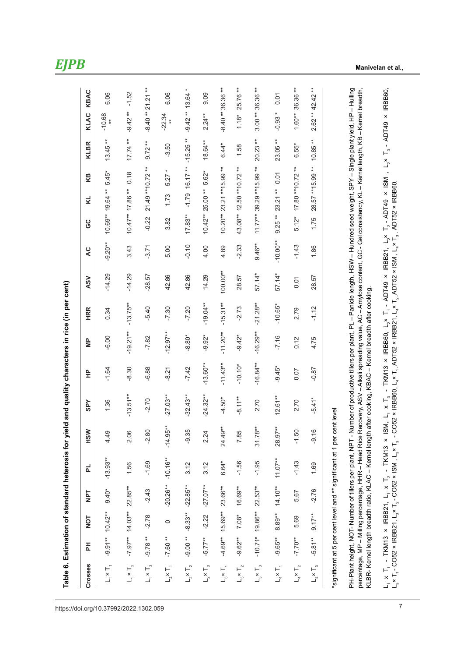| <b>Canadia</b>     |
|--------------------|
|                    |
|                    |
|                    |
|                    |
|                    |
|                    |
|                    |
|                    |
|                    |
|                    |
|                    |
|                    |
|                    |
|                    |
|                    |
|                    |
|                    |
|                    |
|                    |
| $\frac{1}{2}$      |
|                    |
|                    |
|                    |
|                    |
| יומות מים          |
|                    |
| ;<br>;             |
|                    |
|                    |
|                    |
|                    |
|                    |
|                    |
|                    |
| 2                  |
|                    |
|                    |
|                    |
|                    |
|                    |
|                    |
|                    |
|                    |
|                    |
|                    |
|                    |
|                    |
|                    |
|                    |
|                    |
|                    |
|                    |
|                    |
|                    |
|                    |
|                    |
|                    |
|                    |
|                    |
|                    |
|                    |
|                    |
|                    |
|                    |
|                    |
|                    |
| $\frac{1}{2}$<br>l |

| Crosses          | 董                         | $\frac{1}{2}$      | TdN                   | ᇍ          | <b>MSH</b>                                                              | <b>SPY</b>  | 읖           | 을          | <b>HRR</b> | <b>ASV</b> | Q          | ပ္ပ                 | КB<br>4                      | <b>KLBR</b> | KBAC<br>KLAC           |
|------------------|---------------------------|--------------------|-----------------------|------------|-------------------------------------------------------------------------|-------------|-------------|------------|------------|------------|------------|---------------------|------------------------------|-------------|------------------------|
| $L_1 \times T_1$ |                           | $-9.91***$ 10.42** | $9.40*$               | $-13.93**$ | တ္<br>$4\overline{4}$                                                   | 1.36        | $-1.64$     | $-6.00$    | 0.34       | $-14.29$   | $-9.20**$  | $10.69**19.64**$    | $5.45*$                      | $13.45**$   | 6.06<br>$-10.68$       |
| $L_1 \times T_2$ |                           | $-7.97***$ 14.03** | 22.85**               | 1.56       | 2.06                                                                    | $-13.51***$ | $-8.30$     | $-19.21**$ | $-13.75**$ | $-14.29$   | 3.43       | 10.47** 17.86 **    | 0.18                         | $17.74**$   | $-1.52$<br>$-9.42**$   |
| $L_1 \times T_3$ | $-9.78**$                 | $-2.78$            | $-2.43$               | $-1.69$    | $-2.80$                                                                 | $-2.70$     | $-6.88$     | $-7.82$    | $-5.40$    | $-28.57$   | $-3.71$    | $-0.22$             | 21.49 ** 10.72 **            | $9.72**$    | $21.21**$<br>$-8.40**$ |
|                  | $L_2 \times T_1$ -7.60 ** | $\circ$            | $-20.26**$            | $-10.16**$ | $35**$<br>$-14.9$                                                       | $-27.03**$  | $-8.21$     | $-12.97**$ | $-7.30$    | 42.86      | 5.00       | 3.82                | $5.27*$<br>1.73              | $-3.50$     | 6.06<br>$-22.34$       |
| $L_2 \times T_2$ | $-9.00**$                 |                    | $-8.33***$ $-22.85**$ | 3.12       | $-9.35$                                                                 | $-32.43**$  | $-7.42$     | $-8.80*$   | $-7.20$    | 42.86      | $-0.10$    | $17.83**$           | $-1.79$ 16.17**              | $-15.25**$  | $13.64*$<br>$-9.42**$  |
| $L_2 \times T_3$ | $-5.77***$                | $-2.22$            | $-27.07***$           | 3.12       | 2.24                                                                    | $-24.32***$ | $-13.60***$ | $-9.92*$   | $-19.04**$ | 14.29      | 4.00       | $10.42***$ 25.00 ** | 5.62*                        | $18.64***$  | 0.09<br>$2.24**$       |
| $L_3 \times T_1$ | $-4.69**$                 | 15.69**            | 23.66**               | 6.64*      | 24.49**                                                                 | $-4.50*$    | $-11.43**$  | $-11.20**$ | $-15.31**$ | $100.00**$ | 4.89       | $10.20**$           | 23.21 ** 15.99 **            | $6.44*$     | 36.36 **<br>$-8.40**$  |
| $L_3 \times T_2$ | $-9.62***$                | $7.08*$            | $16.69**$             | $-1.56$    | rŌ<br>7.8                                                               | $-8.11**$   | $-10.10*$   | $-9.42*$   | $-2.73$    | 28.57      | $-2.33$    |                     | 43.08** 12.50 ** 10.72 **    | 1.58        | 25.76 **<br>$1.18*$    |
| $L_3 \times T_3$ |                           | $-10.71*19.86**$   | 22.53**               | $-1.95$    | $31.78**$                                                               | 2.70        | $-16.84***$ | $-16.29**$ | $-21.28**$ | 57.14*     | $9.46**$   |                     | $11.77***$ 39.29 ** 15.99 ** | $20.23**$   | 36.36 **<br>$3.00**$   |
| $L_4 \times T_1$ | $-9.65**$                 | 8.89**             | $14.10**$             | $11.07***$ | 28.97**                                                                 | $12.61**$   | $-9.45*$    | $-7.16$    | $-10.65*$  | 57.14*     | $-10.00**$ | $9.25**$            | 0.01<br>23.21 **             | 23.05**     | 0.01<br>$-0.93*$       |
| $L_4 \times T_2$ | $-7.70**$                 | 5.69               | 5.67                  | $-1.43$    | $-1.50$                                                                 | 2.70        | 0.07        | 0.12       | 2.79       | 0.01       | $-1.43$    | $5.12*$             | 17.80 ** 10.72 **            | $6.55*$     | 36.36 **<br>$1.60**$   |
| $L_4 \times T_3$ | $-5.81**$                 | $9.17**$           | $-2.76$               | 1.69       | $\overline{\mathsf{c}}$<br>ာ့                                           | $-5.41*$    | $-0.87$     | 4.75       | $-1.12$    | 28.57      | 1.86       | 1.75                | 28.57 ** 15.99 **            | $10.85**$   | 42.42 **<br>$2.62**$   |
|                  |                           |                    |                       |            | *significant at 5 per cent level and ** significant at 1 per cent level |             |             |            |            |            |            |                     |                              |             |                        |

PH-Plant height, NOT- Number of tillers per plant, NPT - Number of productive tillers per plant, PL - Panicle length, HSW - Hundred seed weight, SPY - Single plant yield, HP - Hulling PH-Plant height, NOT- Number of tillers per plant, NPT - Number of productive tillers per plant, PL – Panicle length, HSW – Hundred seed weight, SPY – Single plant yield, HP – Hulling percentage, MP – Milling percentage, HHR – Head Rice Recovery, ASV – Alkali spreading value, AC – Amylose content, GC - Gel consistency, KL – Kernel length, KB – Kernel breadth, percentage, MP – Milling percentage, HHR – Head Rice Recovery, ASV – Alkali spreading value, AC – Amylose content, GC - Gel consistency, KL – Kernel length, KB – Kernel breadth, KLBR- Kernel length breadth ratio, KLAC – Kernel length after cooking, KBAC – Kernel breadth after cooking. KLBR- Kernel length breadth ratio, KLAC - Kernel length after cooking, KBAC - Kernel breadth after cooking.

L1 x T1 - TKM13 × IRBB21, L1 x T2 - TKM13 × ISM, L1 x T3 - TKM13 × IRBB60, L2× T1 - ADT49 × IRBB21, L2× T2 - ADT49 × ISM , L2× T3 - ADT49 × IRBB60,  ${\sf L}_1 \times {\sf T}_1$  - TKM13 × IRBB21,  ${\sf L}_1 \times {\sf T}_2$  - TKM13 × ISM,  ${\sf L}_1 \times {\sf T}_3$  - TKM13 × IRBB60,  ${\sf L}_2$ × T $_1$  - ADT49 × IRBB21,  ${\sf L}_2$ × T $_2$  - ADT49 × ISM ,  ${\sf L}_2$ × T $_3$  - ADT49 × IRBB60,  ${\sf L}_3$ ×T $_4$  - CO52 × ISM , L.× T, - CO52 × IRBB21, L.× T, - CO52 × ISM , L.× T, - CO52 × IRBB60, L.× T, -ADT52 × IRBB21, L.× T, -ADT52 × IRBB60. L.× T3 - ADT52 × IRBB60.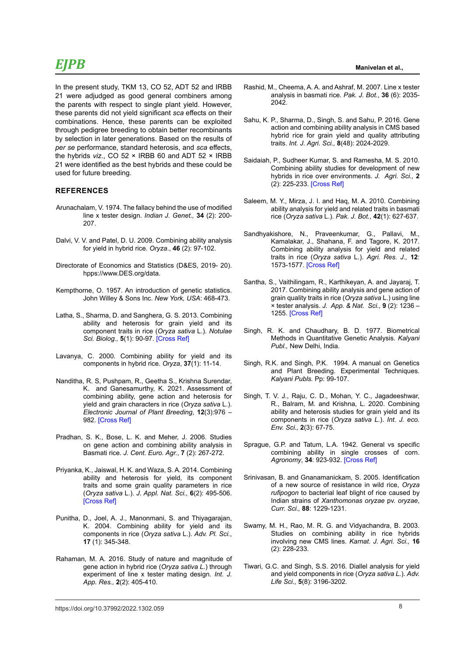In the present study, TKM 13, CO 52, ADT 52 and IRBB 21 were adjudged as good general combiners among the parents with respect to single plant yield. However, these parents did not yield significant *sca* effects on their combinations. Hence, these parents can be exploited through pedigree breeding to obtain better recombinants by selection in later generations. Based on the results of *per se* performance, standard heterosis, and *sca* effects, the hybrids *viz*., CO 52 × IRBB 60 and ADT 52 × IRBB 21 were identified as the best hybrids and these could be used for future breeding.

### **REFERENCES**

- Arunachalam, V. 1974. The fallacy behind the use of modified line x tester design. *Indian J. Genet.,* **34** (2): 200- 207.
- Dalvi, V. V. and Patel, D. U. 2009. Combining ability analysis for yield in hybrid rice. *Oryza*., **46** (2): 97-102.
- Directorate of Economics and Statistics (D&ES, 2019- 20). hpps://www.DES.org/data.
- Kempthorne, O. 1957. An introduction of genetic statistics. John Willey & Sons Inc. *New York, USA*: 468-473.
- Latha, S., Sharma, D. and Sanghera, G. S. 2013. Combining ability and heterosis for grain yield and its component traits in rice (*Oryza sativa* L.). *Notulae Sci. Biolog.,* **5**(1): 90-97. [\[Cross Ref\]](https://doi.org/10.15835/nsb519006)
- Lavanya, C. 2000. Combining ability for yield and its components in hybrid rice. *Oryza*, **37**(1): 11-14.
- Nanditha, R. S, Pushpam, R., Geetha S., Krishna Surendar, K. and Ganesamurthy, K. 2021. Assessment of combining ability, gene action and heterosis for yield and grain characters in rice (*Oryza sativa* L.). *Electronic Journal of Plant Breeding*, **12**(3):976 – 982. [\[Cross Ref\]](https://doi.org/10.37992/2021.1203.135)
- Pradhan, S. K., Bose, L. K. and Meher, J. 2006. Studies on gene action and combining ability analysis in Basmati rice. *J. Cent. Euro. Agr.*, **7** (2): 267-272.
- Priyanka, K., Jaiswal, H. K. and Waza, S. A. 2014. Combining ability and heterosis for yield, its component traits and some grain quality parameters in rice (*Oryza sativa* L.). *J. Appl. Nat. Sci.,* **6**(2): 495-506. [\[Cross Ref\]](https://doi.org/10.31018/jans.v6i2.489)
- Punitha, D., Joel, A. J., Manonmani, S. and Thiyagarajan, K. 2004. Combining ability for yield and its components in rice (*Oryza sativa* L.). *Adv. Pl. Sci.*, **17** (1): 345-348.
- Rahaman, M. A. 2016. Study of nature and magnitude of gene action in hybrid rice (*Oryza sativa L.*) through experiment of line x tester mating design. *Int. J. App. Res.,* **2**(2): 405-410.
- Rashid, M., Cheema, A. A. and Ashraf, M. 2007. Line x tester analysis in basmati rice. *Pak. J. Bot.*, **36** (6): 2035- 2042.
- Sahu, K. P., Sharma, D., Singh, S. and Sahu, P. 2016. Gene action and combining ability analysis in CMS based hybrid rice for grain yield and quality attributing traits. *Int. J. Agri. Sci.,* **8**(48): 2024-2029.
- Saidaiah, P., Sudheer Kumar, S. and Ramesha, M. S. 2010. Combining ability studies for development of new hybrids in rice over environments. *J. Agri. Sci.,* **2** (2): 225-233. [\[Cross Ref\]](https://doi.org/10.5539/jas.v2n2p225)
- Saleem, M. Y., Mirza, J. I. and Haq, M. A. 2010. Combining ability analysis for yield and related traits in basmati rice (*Oryza sativa* L.). *Pak. J. Bot.*, **42**(1): 627-637.
- Sandhyakishore, N., Praveenkumar, G., Pallavi, M., Kamalakar, J., Shahana, F. and Tagore, K. 2017. Combining ability analysis for yield and related traits in rice (*Oryza sativa* L.). *Agri. Res. J.,* **12**: 1573-1577. [\[Cross Ref\]](https://doi.org/10.15740/HAS/AU/12.TECHSEAR%286%292017/1573-1577)
- Santha, S., Vaithilingam, R., Karthikeyan, A. and Jayaraj, T. 2017. Combining ability analysis and gene action of grain quality traits in rice (*Oryza sativa* L.) using line × tester analysis. *J. App. & Nat. Sci.,* **9** (2): 1236 – 1255. [\[Cross Ref\]](https://doi.org/10.31018/jans.v9i2.1350)
- Singh, R. K. and Chaudhary, B. D. 1977. Biometrical Methods in Quantitative Genetic Analysis. *Kalyani Publ.,* New Delhi, India.
- Singh, R.K. and Singh, P.K. 1994. A manual on Genetics and Plant Breeding. Experimental Techniques*. Kalyani Publs.* Pp: 99-107.
- Singh, T. V. J., Raju, C. D., Mohan, Y. C., Jagadeeshwar, R., Balram, M. and Krishna, L. 2020. Combining ability and heterosis studies for grain yield and its components in rice (*Oryza sativa L.*). *Int. J. eco. Env. Sci.,* **2**(3): 67-75.
- Sprague, G.P. and Tatum, L.A. 1942. General vs specific combining ability in single crosses of corn. *Agronomy*, **34**: 923-932. [\[Cross Ref\]](https://doi.org/10.2134/agronj1942.00021962003400100008x)
- Srinivasan, B. and Gnanamanickam, S. 2005. Identification of a new source of resistance in wild rice, *Oryza rufipogon* to bacterial leaf blight of rice caused by Indian strains of *Xanthomonas oryzae* pv. *oryzae*, *Curr. Sci.,* **88**: 1229-1231.
- Swamy, M. H., Rao, M. R. G. and Vidyachandra, B. 2003. Studies on combining ability in rice hybrids involving new CMS lines. *Karnat. J. Agri. Sci.,* **16** (2): 228-233.
- Tiwari, G.C. and Singh, S.S. 2016. Diallel analysis for yield and yield components in rice (*Oryza sativa L.*). *Adv. Life Sci.,* **5**(8): 3196-3202.

8 https://doi.org/10.37992/2022.1302.059